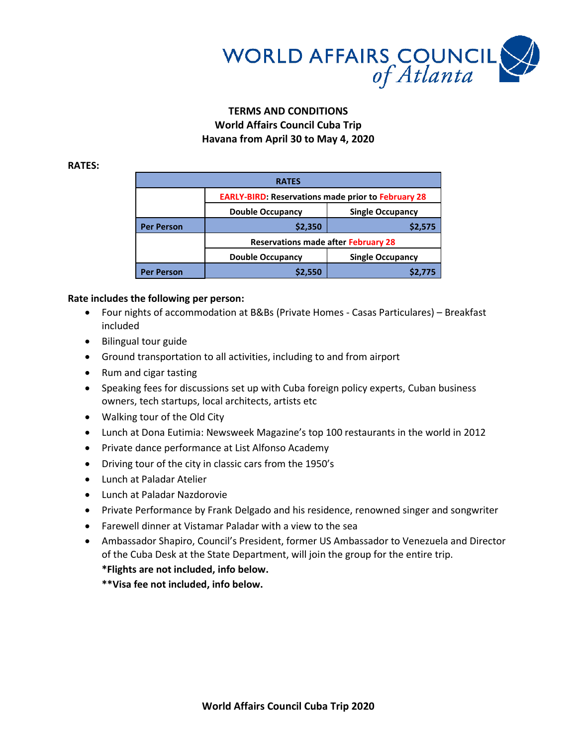

# **TERMS AND CONDITIONS World Affairs Council Cuba Trip Havana from April 30 to May 4, 2020**

#### **RATES:**

| <b>RATES</b>      |                                                           |                         |
|-------------------|-----------------------------------------------------------|-------------------------|
|                   | <b>EARLY-BIRD: Reservations made prior to February 28</b> |                         |
|                   | <b>Double Occupancy</b>                                   | <b>Single Occupancy</b> |
| <b>Per Person</b> | \$2,350                                                   | \$2,575                 |
|                   | <b>Reservations made after February 28</b>                |                         |
|                   | <b>Double Occupancy</b>                                   | <b>Single Occupancy</b> |
| <b>Per Person</b> | \$2,550                                                   |                         |

### **Rate includes the following per person:**

- Four nights of accommodation at B&Bs (Private Homes Casas Particulares) Breakfast included
- Bilingual tour guide
- Ground transportation to all activities, including to and from airport
- Rum and cigar tasting
- Speaking fees for discussions set up with Cuba foreign policy experts, Cuban business owners, tech startups, local architects, artists etc
- Walking tour of the Old City
- Lunch at Dona Eutimia: Newsweek Magazine's top 100 restaurants in the world in 2012
- Private dance performance at List Alfonso Academy
- Driving tour of the city in classic cars from the 1950's
- Lunch at Paladar Atelier
- Lunch at Paladar Nazdorovie
- Private Performance by Frank Delgado and his residence, renowned singer and songwriter
- Farewell dinner at Vistamar Paladar with a view to the sea
- Ambassador Shapiro, Council's President, former US Ambassador to Venezuela and Director of the Cuba Desk at the State Department, will join the group for the entire trip.

## **\*Flights are not included, info below.**

**\*\*Visa fee not included, info below.**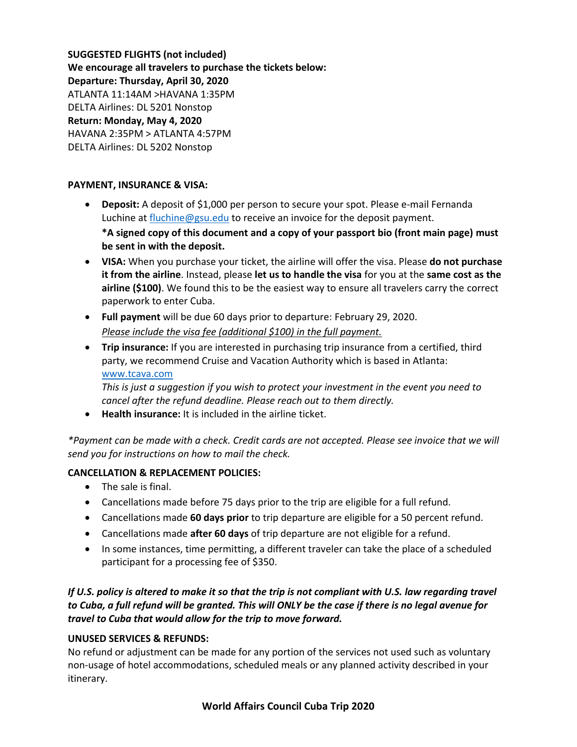**SUGGESTED FLIGHTS (not included) We encourage all travelers to purchase the tickets below: Departure: Thursday, April 30, 2020** ATLANTA 11:14AM >HAVANA 1:35PM DELTA Airlines: DL 5201 Nonstop **Return: Monday, May 4, 2020** HAVANA 2:35PM > ATLANTA 4:57PM DELTA Airlines: DL 5202 Nonstop

### **PAYMENT, INSURANCE & VISA:**

- **Deposit:** A deposit of \$1,000 per person to secure your spot. Please e-mail Fernanda Luchine a[t fluchine@gsu.edu](mailto:fluchine@gsu.edu) to receive an invoice for the deposit payment. **\*A signed copy of this document and a copy of your passport bio (front main page) must be sent in with the deposit.**
- **VISA:** When you purchase your ticket, the airline will offer the visa. Please **do not purchase it from the airline**. Instead, please **let us to handle the visa** for you at the **same cost as the airline (\$100)**. We found this to be the easiest way to ensure all travelers carry the correct paperwork to enter Cuba.
- **Full payment** will be due 60 days prior to departure: February 29, 2020. *Please include the visa fee (additional \$100) in the full payment.*
- **Trip insurance:** If you are interested in purchasing trip insurance from a certified, third party, we recommend Cruise and Vacation Authority which is based in Atlanta: [www.tcava.com](http://www.tcava.com/)

*This is just a suggestion if you wish to protect your investment in the event you need to cancel after the refund deadline. Please reach out to them directly.*

**Health insurance:** It is included in the airline ticket.

*\*Payment can be made with a check. Credit cards are not accepted. Please see invoice that we will send you for instructions on how to mail the check.*

## **CANCELLATION & REPLACEMENT POLICIES:**

- The sale is final.
- Cancellations made before 75 days prior to the trip are eligible for a full refund.
- Cancellations made **60 days prior** to trip departure are eligible for a 50 percent refund.
- Cancellations made **after 60 days** of trip departure are not eligible for a refund.
- In some instances, time permitting, a different traveler can take the place of a scheduled participant for a processing fee of \$350.

# *If U.S. policy is altered to make it so that the trip is not compliant with U.S. law regarding travel to Cuba, a full refund will be granted. This will ONLY be the case if there is no legal avenue for travel to Cuba that would allow for the trip to move forward.*

## **UNUSED SERVICES & REFUNDS:**

No refund or adjustment can be made for any portion of the services not used such as voluntary non-usage of hotel accommodations, scheduled meals or any planned activity described in your itinerary.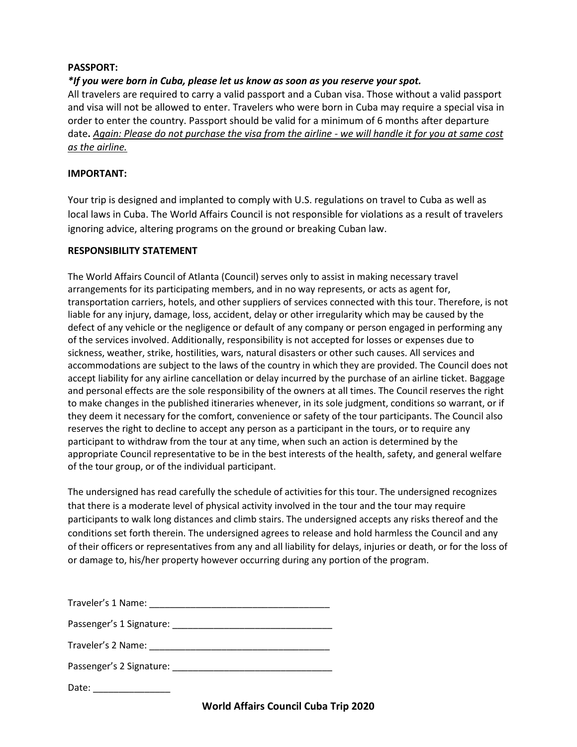### **PASSPORT:**

## *\*If you were born in Cuba, please let us know as soon as you reserve your spot.*

All travelers are required to carry a valid passport and a Cuban visa. Those without a valid passport and visa will not be allowed to enter. Travelers who were born in Cuba may require a special visa in order to enter the country. Passport should be valid for a minimum of 6 months after departure date**.** *Again: Please do not purchase the visa from the airline - we will handle it for you at same cost as the airline.*

### **IMPORTANT:**

Your trip is designed and implanted to comply with U.S. regulations on travel to Cuba as well as local laws in Cuba. The World Affairs Council is not responsible for violations as a result of travelers ignoring advice, altering programs on the ground or breaking Cuban law.

### **RESPONSIBILITY STATEMENT**

The World Affairs Council of Atlanta (Council) serves only to assist in making necessary travel arrangements for its participating members, and in no way represents, or acts as agent for, transportation carriers, hotels, and other suppliers of services connected with this tour. Therefore, is not liable for any injury, damage, loss, accident, delay or other irregularity which may be caused by the defect of any vehicle or the negligence or default of any company or person engaged in performing any of the services involved. Additionally, responsibility is not accepted for losses or expenses due to sickness, weather, strike, hostilities, wars, natural disasters or other such causes. All services and accommodations are subject to the laws of the country in which they are provided. The Council does not accept liability for any airline cancellation or delay incurred by the purchase of an airline ticket. Baggage and personal effects are the sole responsibility of the owners at all times. The Council reserves the right to make changes in the published itineraries whenever, in its sole judgment, conditions so warrant, or if they deem it necessary for the comfort, convenience or safety of the tour participants. The Council also reserves the right to decline to accept any person as a participant in the tours, or to require any participant to withdraw from the tour at any time, when such an action is determined by the appropriate Council representative to be in the best interests of the health, safety, and general welfare of the tour group, or of the individual participant.

The undersigned has read carefully the schedule of activities for this tour. The undersigned recognizes that there is a moderate level of physical activity involved in the tour and the tour may require participants to walk long distances and climb stairs. The undersigned accepts any risks thereof and the conditions set forth therein. The undersigned agrees to release and hold harmless the Council and any of their officers or representatives from any and all liability for delays, injuries or death, or for the loss of or damage to, his/her property however occurring during any portion of the program.

| Traveler's 1 Name:                                     |
|--------------------------------------------------------|
|                                                        |
|                                                        |
|                                                        |
| Date:<br><u> 1980 - Andrea Albert III, martin a bh</u> |